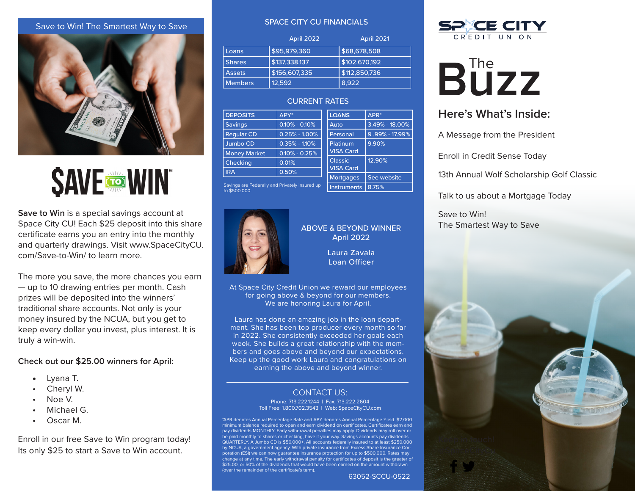#### Save to Win! The Smartest Way to Save



**SAVE TO WIN** 

**Save to Win** is a special savings account at Space City CU! Each \$25 deposit into this share certificate earns you an entry into the monthly and quarterly drawings. Visit www.SpaceCityCU. com/Save-to-Win/ to learn more.

The more you save, the more chances you earn — up to 10 drawing entries per month. Cash prizes will be deposited into the winners' traditional share accounts. Not only is your money insured by the NCUA, but you get to keep every dollar you invest, plus interest. It is truly a win-win.

#### **Check out our \$25.00 winners for April:**

- Lyana T.
- Cheryl W.
- Noe V.
- Michael G.
- Oscar M.

Enroll in our free Save to Win program today! Its only \$25 to start a Save to Win account.

#### SPACE CITY CU FINANCIALS

|                | April 2022    | <b>April 2021</b> |
|----------------|---------------|-------------------|
| Loans          | \$95,979,360  | \$68,678,508      |
| <b>Shares</b>  | \$137,338,137 | \$102,670,192     |
| <b>Assets</b>  | \$156,607,335 | \$112,850,736     |
| <b>Members</b> | 12,592        | 8.922             |

#### CURRENT RATES

| <b>DEPOSITS</b>     | APY*              | <b>LOANS</b>     | $APR*$             |
|---------------------|-------------------|------------------|--------------------|
| <b>Savings</b>      | $0.10\% - 0.10\%$ | Auto             | $3.49\% - 18.00\%$ |
| <b>Regular CD</b>   | $0.25\% - 1.00\%$ | Personal         | 9.99% - 17.99%     |
| <b>Jumbo CD</b>     | $0.35\% - 1.10\%$ | Platinum         | 9.90%              |
| <b>Money Market</b> | $0.10\% - 0.25\%$ | <b>VISA Card</b> |                    |
| Checking            | 0.01%             | <b>Classic</b>   | 12.90%             |
| <b>IRA</b>          | 0.50%             | <b>VISA Card</b> |                    |
|                     |                   | <b>Mortgages</b> | See website        |
|                     |                   |                  |                    |

Savings are Federally and Privately insured up to \$500,000.



## ABOVE & BEYOND WINNER April 2022

Instruments | 8.75%

Laura Zavala Loan Officer

63052-SCCU-0522

At Space City Credit Union we reward our employees for going above & beyond for our members. We are honoring Laura for April.

Laura has done an amazing job in the loan department. She has been top producer every month so far in 2022. She consistently exceeded her goals each week. She builds a great relationship with the members and goes above and beyond our expectations. Keep up the good work Laura and congratulations on earning the above and beyond winner.

#### CONTACT US:

Phone: 713.222.1244 | Fax: 713.222.2604 Toll Free: 1.800.702.3543 | Web: SpaceCityCU.com

\*APR denotes Annual Percentage Rate and APY denotes Annual Percentage Yield. \$2,000 minimum balance required to open and earn dividend on certificates. Certificates earn and pay dividends MONTHLY. Early withdrawal penalties may apply. Dividends may roll over or be paid monthly to shares or checking, have it your way. Savings accounts pay dividends QUARTERLY. A Jumbo CD is \$50,000+. All accounts federally insured to at least \$250,000 by NCUA, a government agency. With private insurance from Excess Share Insurance Corporation (ESI) we can now guarantee insurance protection for up to \$500,000. Rates may change at any time. The early withdrawal penalty for certificates of deposit is the greater of \$25.00, or 50% of the dividends that would have been earned on the amount withdrawn (over the remainder of the certificate's term).



# **B**UZZ

# **Here's What's Inside:**

A Message from the President

Enroll in Credit Sense Today

13th Annual Wolf Scholarship Golf Classic

Talk to us about a Mortgage Today

Save to Win! The Smartest Way to Save